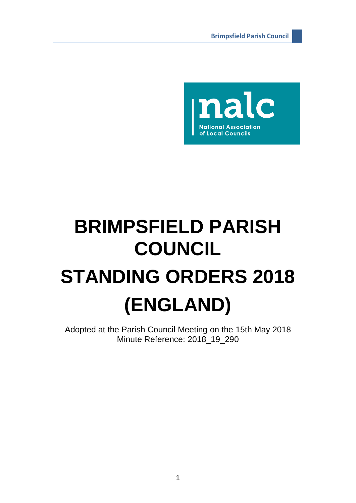

# **BRIMPSFIELD PARISH COUNCIL STANDING ORDERS 2018 (ENGLAND)**

Adopted at the Parish Council Meeting on the 15th May 2018 Minute Reference: 2018\_19\_290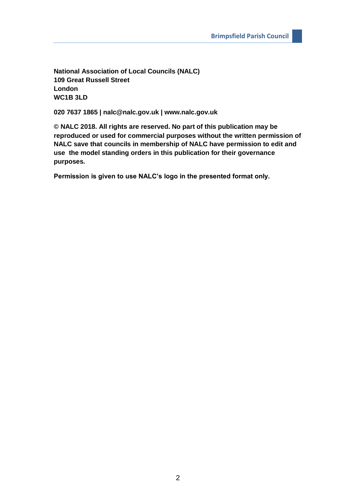**National Association of Local Councils (NALC) 109 Great Russell Street London WC1B 3LD**

**020 7637 1865 | nalc@nalc.gov.uk | www.nalc.gov.uk**

**© NALC 2018. All rights are reserved. No part of this publication may be reproduced or used for commercial purposes without the written permission of NALC save that councils in membership of NALC have permission to edit and use the model standing orders in this publication for their governance purposes.**

**Permission is given to use NALC's logo in the presented format only.**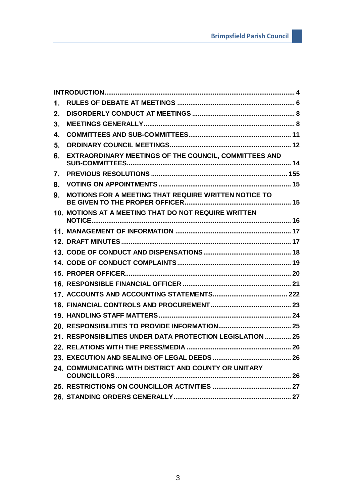| 1.      |                                                            |  |
|---------|------------------------------------------------------------|--|
| $2_{-}$ |                                                            |  |
| 3.      |                                                            |  |
| 4.      |                                                            |  |
| 5.      |                                                            |  |
| 6.      | EXTRAORDINARY MEETINGS OF THE COUNCIL, COMMITTEES AND      |  |
| 7.      |                                                            |  |
| 8.      |                                                            |  |
| 9.      | MOTIONS FOR A MEETING THAT REQUIRE WRITTEN NOTICE TO       |  |
|         | 10. MOTIONS AT A MEETING THAT DO NOT REQUIRE WRITTEN       |  |
|         |                                                            |  |
|         |                                                            |  |
|         |                                                            |  |
|         |                                                            |  |
|         |                                                            |  |
|         |                                                            |  |
|         |                                                            |  |
|         |                                                            |  |
|         |                                                            |  |
|         |                                                            |  |
|         | 21. RESPONSIBILITIES UNDER DATA PROTECTION LEGISLATION  25 |  |
|         |                                                            |  |
|         |                                                            |  |
|         | 24. COMMUNICATING WITH DISTRICT AND COUNTY OR UNITARY      |  |
|         |                                                            |  |
|         |                                                            |  |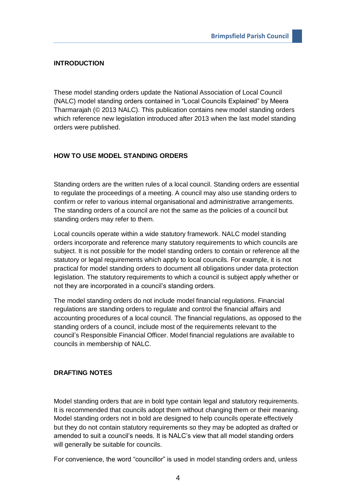# <span id="page-3-0"></span>**INTRODUCTION**

These model standing orders update the National Association of Local Council (NALC) model standing orders contained in "Local Councils Explained" by Meera Tharmarajah (© 2013 NALC). This publication contains new model standing orders which reference new legislation introduced after 2013 when the last model standing orders were published.

# **HOW TO USE MODEL STANDING ORDERS**

Standing orders are the written rules of a local council. Standing orders are essential to regulate the proceedings of a meeting. A council may also use standing orders to confirm or refer to various internal organisational and administrative arrangements. The standing orders of a council are not the same as the policies of a council but standing orders may refer to them.

Local councils operate within a wide statutory framework. NALC model standing orders incorporate and reference many statutory requirements to which councils are subject. It is not possible for the model standing orders to contain or reference all the statutory or legal requirements which apply to local councils. For example, it is not practical for model standing orders to document all obligations under data protection legislation. The statutory requirements to which a council is subject apply whether or not they are incorporated in a council's standing orders.

The model standing orders do not include model financial regulations. Financial regulations are standing orders to regulate and control the financial affairs and accounting procedures of a local council. The financial regulations, as opposed to the standing orders of a council, include most of the requirements relevant to the council's Responsible Financial Officer. Model financial regulations are available to councils in membership of NALC.

## **DRAFTING NOTES**

Model standing orders that are in bold type contain legal and statutory requirements. It is recommended that councils adopt them without changing them or their meaning. Model standing orders not in bold are designed to help councils operate effectively but they do not contain statutory requirements so they may be adopted as drafted or amended to suit a council's needs. It is NALC's view that all model standing orders will generally be suitable for councils.

For convenience, the word "councillor" is used in model standing orders and, unless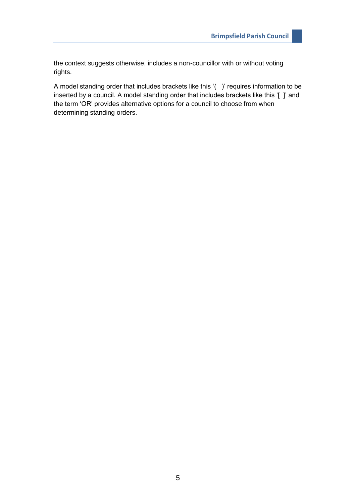the context suggests otherwise, includes a non-councillor with or without voting rights.

A model standing order that includes brackets like this '( )' requires information to be inserted by a council. A model standing order that includes brackets like this '[ ]' and the term 'OR' provides alternative options for a council to choose from when determining standing orders.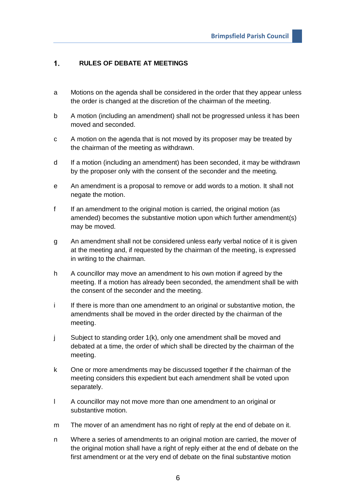#### <span id="page-5-0"></span> $\mathbf{1}$ . **RULES OF DEBATE AT MEETINGS**

- a Motions on the agenda shall be considered in the order that they appear unless the order is changed at the discretion of the chairman of the meeting.
- b A motion (including an amendment) shall not be progressed unless it has been moved and seconded.
- c A motion on the agenda that is not moved by its proposer may be treated by the chairman of the meeting as withdrawn.
- d If a motion (including an amendment) has been seconded, it may be withdrawn by the proposer only with the consent of the seconder and the meeting.
- e An amendment is a proposal to remove or add words to a motion. It shall not negate the motion.
- f If an amendment to the original motion is carried, the original motion (as amended) becomes the substantive motion upon which further amendment(s) may be moved.
- g An amendment shall not be considered unless early verbal notice of it is given at the meeting and, if requested by the chairman of the meeting, is expressed in writing to the chairman.
- h A councillor may move an amendment to his own motion if agreed by the meeting. If a motion has already been seconded, the amendment shall be with the consent of the seconder and the meeting.
- i If there is more than one amendment to an original or substantive motion, the amendments shall be moved in the order directed by the chairman of the meeting.
- j Subject to standing order 1(k), only one amendment shall be moved and debated at a time, the order of which shall be directed by the chairman of the meeting.
- k One or more amendments may be discussed together if the chairman of the meeting considers this expedient but each amendment shall be voted upon separately.
- l A councillor may not move more than one amendment to an original or substantive motion.
- m The mover of an amendment has no right of reply at the end of debate on it.
- n Where a series of amendments to an original motion are carried, the mover of the original motion shall have a right of reply either at the end of debate on the first amendment or at the very end of debate on the final substantive motion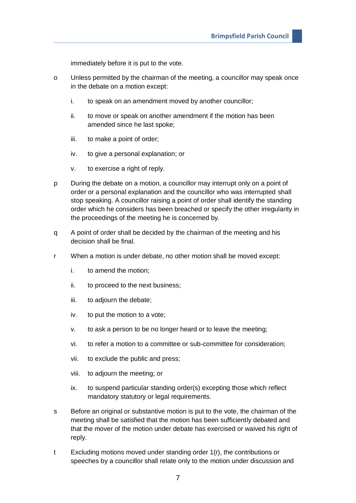immediately before it is put to the vote.

- o Unless permitted by the chairman of the meeting, a councillor may speak once in the debate on a motion except:
	- i. to speak on an amendment moved by another councillor;
	- ii. to move or speak on another amendment if the motion has been amended since he last spoke;
	- iii. to make a point of order;
	- iv. to give a personal explanation; or
	- v. to exercise a right of reply.
- p During the debate on a motion, a councillor may interrupt only on a point of order or a personal explanation and the councillor who was interrupted shall stop speaking. A councillor raising a point of order shall identify the standing order which he considers has been breached or specify the other irregularity in the proceedings of the meeting he is concerned by.
- q A point of order shall be decided by the chairman of the meeting and his decision shall be final.
- r When a motion is under debate, no other motion shall be moved except:
	- i. to amend the motion;
	- ii. to proceed to the next business;
	- iii. to adjourn the debate;
	- iv. to put the motion to a vote;
	- v. to ask a person to be no longer heard or to leave the meeting;
	- vi. to refer a motion to a committee or sub-committee for consideration;
	- vii. to exclude the public and press;
	- viii. to adjourn the meeting; or
	- ix. to suspend particular standing order(s) excepting those which reflect mandatory statutory or legal requirements.
- s Before an original or substantive motion is put to the vote, the chairman of the meeting shall be satisfied that the motion has been sufficiently debated and that the mover of the motion under debate has exercised or waived his right of reply.
- t Excluding motions moved under standing order 1(r), the contributions or speeches by a councillor shall relate only to the motion under discussion and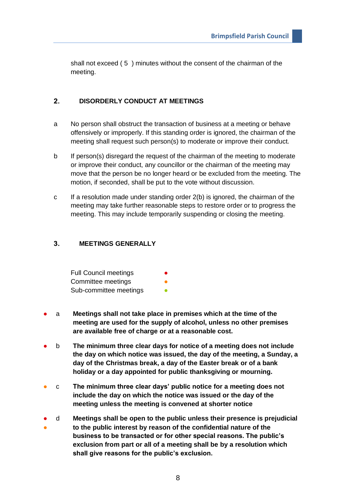shall not exceed ( 5 ) minutes without the consent of the chairman of the meeting.

#### <span id="page-7-0"></span> $2.$ **DISORDERLY CONDUCT AT MEETINGS**

- a No person shall obstruct the transaction of business at a meeting or behave offensively or improperly. If this standing order is ignored, the chairman of the meeting shall request such person(s) to moderate or improve their conduct.
- b If person(s) disregard the request of the chairman of the meeting to moderate or improve their conduct, any councillor or the chairman of the meeting may move that the person be no longer heard or be excluded from the meeting. The motion, if seconded, shall be put to the vote without discussion.
- c If a resolution made under standing order 2(b) is ignored, the chairman of the meeting may take further reasonable steps to restore order or to progress the meeting. This may include temporarily suspending or closing the meeting.

#### <span id="page-7-1"></span> $3<sub>1</sub>$ **MEETINGS GENERALLY**

| <b>Full Council meetings</b> |  |
|------------------------------|--|
| Committee meetings           |  |
| Sub-committee meetings       |  |

- a **Meetings shall not take place in premises which at the time of the meeting are used for the supply of alcohol, unless no other premises are available free of charge or at a reasonable cost.**
- b **The minimum three clear days for notice of a meeting does not include the day on which notice was issued, the day of the meeting, a Sunday, a day of the Christmas break, a day of the Easter break or of a bank holiday or a day appointed for public thanksgiving or mourning.**
- c **The minimum three clear days' public notice for a meeting does not include the day on which the notice was issued or the day of the meeting unless the meeting is convened at shorter notice**
- ● d **Meetings shall be open to the public unless their presence is prejudicial to the public interest by reason of the confidential nature of the business to be transacted or for other special reasons. The public's exclusion from part or all of a meeting shall be by a resolution which shall give reasons for the public's exclusion.**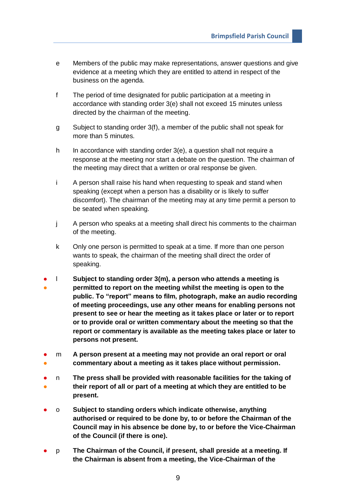- e Members of the public may make representations, answer questions and give evidence at a meeting which they are entitled to attend in respect of the business on the agenda.
- f The period of time designated for public participation at a meeting in accordance with standing order 3(e) shall not exceed 15 minutes unless directed by the chairman of the meeting.
- g Subject to standing order 3(f), a member of the public shall not speak for more than 5 minutes.
- h In accordance with standing order 3(e), a question shall not require a response at the meeting nor start a debate on the question. The chairman of the meeting may direct that a written or oral response be given.
- i A person shall raise his hand when requesting to speak and stand when speaking (except when a person has a disability or is likely to suffer discomfort). The chairman of the meeting may at any time permit a person to be seated when speaking.
- j A person who speaks at a meeting shall direct his comments to the chairman of the meeting.
- k Only one person is permitted to speak at a time. If more than one person wants to speak, the chairman of the meeting shall direct the order of speaking.
- ● l **Subject to standing order 3(m), a person who attends a meeting is permitted to report on the meeting whilst the meeting is open to the public. To "report" means to film, photograph, make an audio recording of meeting proceedings, use any other means for enabling persons not present to see or hear the meeting as it takes place or later or to report or to provide oral or written commentary about the meeting so that the report or commentary is available as the meeting takes place or later to persons not present.**
- ● m **A person present at a meeting may not provide an oral report or oral commentary about a meeting as it takes place without permission.**
- ● n **The press shall be provided with reasonable facilities for the taking of their report of all or part of a meeting at which they are entitled to be present.**
- o **Subject to standing orders which indicate otherwise, anything authorised or required to be done by, to or before the Chairman of the Council may in his absence be done by, to or before the Vice-Chairman of the Council (if there is one).**
- p **The Chairman of the Council, if present, shall preside at a meeting. If the Chairman is absent from a meeting, the Vice-Chairman of the**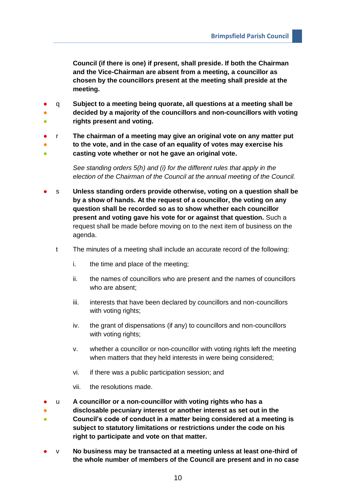**Council (if there is one) if present, shall preside. If both the Chairman and the Vice-Chairman are absent from a meeting, a councillor as chosen by the councillors present at the meeting shall preside at the meeting.**

- q **Subject to a meeting being quorate, all questions at a meeting shall be**
- **。 decided by a majority of the councillors and non-councillors with voting rights present and voting.**
- 
- r **The chairman of a meeting may give an original vote on any matter put**
- ● **to the vote, and in the case of an equality of votes may exercise his casting vote whether or not he gave an original vote.**
	- *See standing orders 5(h) and (i) for the different rules that apply in the election of the Chairman of the Council at the annual meeting of the Council.*
- s **Unless standing orders provide otherwise, voting on a question shall be by a show of hands. At the request of a councillor, the voting on any question shall be recorded so as to show whether each councillor present and voting gave his vote for or against that question.** Such a request shall be made before moving on to the next item of business on the agenda.
	- t The minutes of a meeting shall include an accurate record of the following:
		- i. the time and place of the meeting;
		- ii. the names of councillors who are present and the names of councillors who are absent;
		- iii. interests that have been declared by councillors and non-councillors with voting rights;
		- iv. the grant of dispensations (if any) to councillors and non-councillors with voting rights;
		- v. whether a councillor or non-councillor with voting rights left the meeting when matters that they held interests in were being considered;
		- vi. if there was a public participation session; and
		- vii. the resolutions made.
- u **A councillor or a non-councillor with voting rights who has a**
- ● **disclosable pecuniary interest or another interest as set out in the Council's code of conduct in a matter being considered at a meeting is subject to statutory limitations or restrictions under the code on his right to participate and vote on that matter.**
- v **No business may be transacted at a meeting unless at least one-third of the whole number of members of the Council are present and in no case**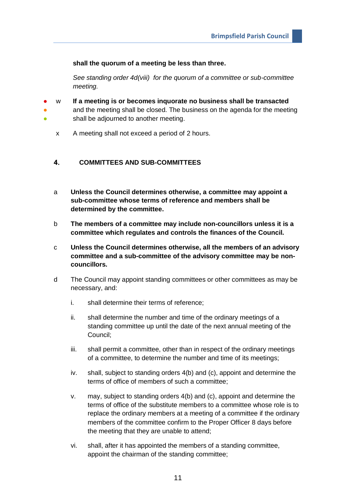## **shall the quorum of a meeting be less than three.**

*See standing order 4d(viii) for the quorum of a committee or sub-committee meeting.* 

- ● **。** w **If a meeting is or becomes inquorate no business shall be transacted** and the meeting shall be closed. The business on the agenda for the meeting shall be adjourned to another meeting.
	- x A meeting shall not exceed a period of 2 hours.

#### <span id="page-10-0"></span>**COMMITTEES AND SUB-COMMITTEES**  $4.$

- a **Unless the Council determines otherwise, a committee may appoint a sub-committee whose terms of reference and members shall be determined by the committee.**
- b **The members of a committee may include non-councillors unless it is a committee which regulates and controls the finances of the Council.**
- c **Unless the Council determines otherwise, all the members of an advisory committee and a sub-committee of the advisory committee may be noncouncillors.**
- d The Council may appoint standing committees or other committees as may be necessary, and:
	- i. shall determine their terms of reference;
	- ii. shall determine the number and time of the ordinary meetings of a standing committee up until the date of the next annual meeting of the Council;
	- iii. shall permit a committee, other than in respect of the ordinary meetings of a committee, to determine the number and time of its meetings;
	- iv. shall, subject to standing orders 4(b) and (c), appoint and determine the terms of office of members of such a committee;
	- v. may, subject to standing orders 4(b) and (c), appoint and determine the terms of office of the substitute members to a committee whose role is to replace the ordinary members at a meeting of a committee if the ordinary members of the committee confirm to the Proper Officer 8 days before the meeting that they are unable to attend;
	- vi. shall, after it has appointed the members of a standing committee, appoint the chairman of the standing committee;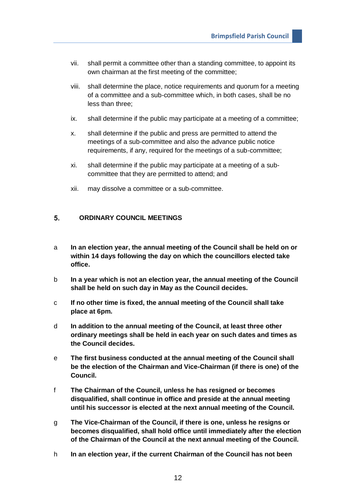- vii. shall permit a committee other than a standing committee, to appoint its own chairman at the first meeting of the committee;
- viii. shall determine the place, notice requirements and quorum for a meeting of a committee and a sub-committee which, in both cases, shall be no less than three;
- ix. shall determine if the public may participate at a meeting of a committee;
- x. shall determine if the public and press are permitted to attend the meetings of a sub-committee and also the advance public notice requirements, if any, required for the meetings of a sub-committee;
- xi. shall determine if the public may participate at a meeting of a subcommittee that they are permitted to attend; and
- xii. may dissolve a committee or a sub-committee.

#### <span id="page-11-0"></span> $5<sub>1</sub>$ **ORDINARY COUNCIL MEETINGS**

- a **In an election year, the annual meeting of the Council shall be held on or within 14 days following the day on which the councillors elected take office.**
- b **In a year which is not an election year, the annual meeting of the Council shall be held on such day in May as the Council decides.**
- c **If no other time is fixed, the annual meeting of the Council shall take place at 6pm.**
- d **In addition to the annual meeting of the Council, at least three other ordinary meetings shall be held in each year on such dates and times as the Council decides.**
- e **The first business conducted at the annual meeting of the Council shall be the election of the Chairman and Vice-Chairman (if there is one) of the Council.**
- f **The Chairman of the Council, unless he has resigned or becomes disqualified, shall continue in office and preside at the annual meeting until his successor is elected at the next annual meeting of the Council.**
- g **The Vice-Chairman of the Council, if there is one, unless he resigns or becomes disqualified, shall hold office until immediately after the election of the Chairman of the Council at the next annual meeting of the Council.**
- h **In an election year, if the current Chairman of the Council has not been**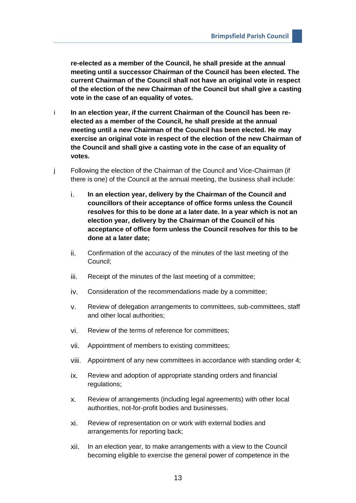**re-elected as a member of the Council, he shall preside at the annual meeting until a successor Chairman of the Council has been elected. The current Chairman of the Council shall not have an original vote in respect of the election of the new Chairman of the Council but shall give a casting vote in the case of an equality of votes.**

- i **In an election year, if the current Chairman of the Council has been reelected as a member of the Council, he shall preside at the annual meeting until a new Chairman of the Council has been elected. He may exercise an original vote in respect of the election of the new Chairman of the Council and shall give a casting vote in the case of an equality of votes.**
- j Following the election of the Chairman of the Council and Vice-Chairman (if there is one) of the Council at the annual meeting, the business shall include:
	- i. **In an election year, delivery by the Chairman of the Council and councillors of their acceptance of office forms unless the Council resolves for this to be done at a later date. In a year which is not an election year, delivery by the Chairman of the Council of his acceptance of office form unless the Council resolves for this to be done at a later date;**
	- ii. Confirmation of the accuracy of the minutes of the last meeting of the Council;
	- iii. Receipt of the minutes of the last meeting of a committee;
	- iv. Consideration of the recommendations made by a committee;
	- v. Review of delegation arrangements to committees, sub-committees, staff and other local authorities;
	- vi. Review of the terms of reference for committees;
	- vii. Appointment of members to existing committees;
	- viii. Appointment of any new committees in accordance with standing order 4;
	- ix. Review and adoption of appropriate standing orders and financial regulations;
	- x. Review of arrangements (including legal agreements) with other local authorities, not-for-profit bodies and businesses.
	- xi. Review of representation on or work with external bodies and arrangements for reporting back;
	- xii. In an election year, to make arrangements with a view to the Council becoming eligible to exercise the general power of competence in the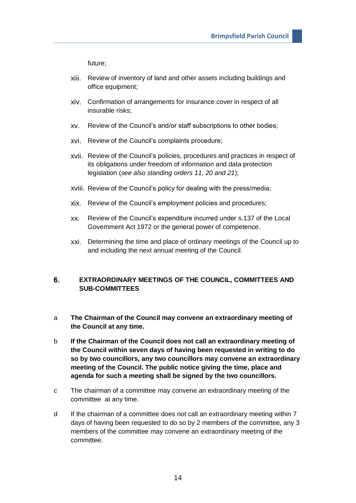future;

- xiii. Review of inventory of land and other assets including buildings and office equipment;
- xiv. Confirmation of arrangements for insurance cover in respect of all insurable risks;
- xv. Review of the Council's and/or staff subscriptions to other bodies;
- xvi. Review of the Council's complaints procedure;
- xvii. Review of the Council's policies, procedures and practices in respect of its obligations under freedom of information and data protection legislation (*see also standing orders 11, 20 and 21*);
- xviii. Review of the Council's policy for dealing with the press/media;
- xix. Review of the Council's employment policies and procedures;
- xx. Review of the Council's expenditure incurred under s.137 of the Local Government Act 1972 or the general power of competence.
- xxi. Determining the time and place of ordinary meetings of the Council up to and including the next annual meeting of the Council.

### <span id="page-13-0"></span>6. **EXTRAORDINARY MEETINGS OF THE COUNCIL, COMMITTEES AND SUB-COMMITTEES**

- a **The Chairman of the Council may convene an extraordinary meeting of the Council at any time.**
- b **If the Chairman of the Council does not call an extraordinary meeting of the Council within seven days of having been requested in writing to do so by two councillors, any two councillors may convene an extraordinary meeting of the Council. The public notice giving the time, place and agenda for such a meeting shall be signed by the two councillors.**
- c The chairman of a committee may convene an extraordinary meeting of the committee at any time.
- d If the chairman of a committee does not call an extraordinary meeting within 7 days of having been requested to do so by 2 members of the committee, any 3 members of the committee may convene an extraordinary meeting of the committee.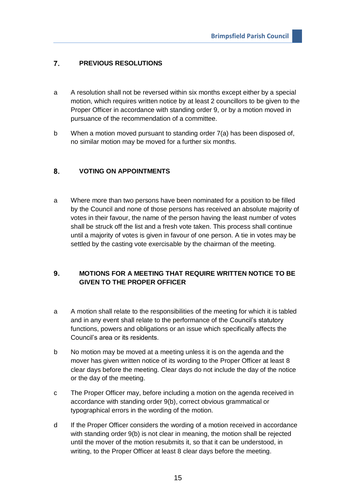#### <span id="page-14-0"></span> $\overline{7}$ . **PREVIOUS RESOLUTIONS**

- a A resolution shall not be reversed within six months except either by a special motion, which requires written notice by at least 2 councillors to be given to the Proper Officer in accordance with standing order 9, or by a motion moved in pursuance of the recommendation of a committee.
- b When a motion moved pursuant to standing order 7(a) has been disposed of, no similar motion may be moved for a further six months.

#### <span id="page-14-1"></span>8. **VOTING ON APPOINTMENTS**

a Where more than two persons have been nominated for a position to be filled by the Council and none of those persons has received an absolute majority of votes in their favour, the name of the person having the least number of votes shall be struck off the list and a fresh vote taken. This process shall continue until a majority of votes is given in favour of one person. A tie in votes may be settled by the casting vote exercisable by the chairman of the meeting.

## <span id="page-14-2"></span> $9<sub>1</sub>$ **MOTIONS FOR A MEETING THAT REQUIRE WRITTEN NOTICE TO BE GIVEN TO THE PROPER OFFICER**

- a A motion shall relate to the responsibilities of the meeting for which it is tabled and in any event shall relate to the performance of the Council's statutory functions, powers and obligations or an issue which specifically affects the Council's area or its residents.
- b No motion may be moved at a meeting unless it is on the agenda and the mover has given written notice of its wording to the Proper Officer at least 8 clear days before the meeting. Clear days do not include the day of the notice or the day of the meeting.
- c The Proper Officer may, before including a motion on the agenda received in accordance with standing order 9(b), correct obvious grammatical or typographical errors in the wording of the motion.
- d If the Proper Officer considers the wording of a motion received in accordance with standing order 9(b) is not clear in meaning, the motion shall be rejected until the mover of the motion resubmits it, so that it can be understood, in writing, to the Proper Officer at least 8 clear days before the meeting.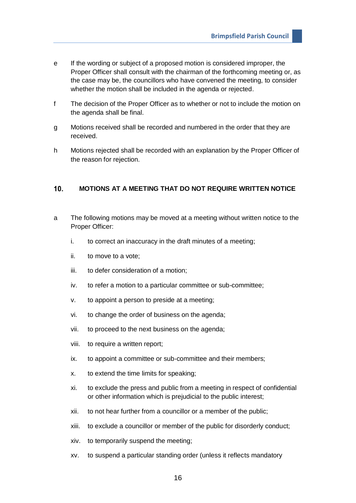- e If the wording or subject of a proposed motion is considered improper, the Proper Officer shall consult with the chairman of the forthcoming meeting or, as the case may be, the councillors who have convened the meeting, to consider whether the motion shall be included in the agenda or rejected.
- f The decision of the Proper Officer as to whether or not to include the motion on the agenda shall be final.
- g Motions received shall be recorded and numbered in the order that they are received.
- h Motions rejected shall be recorded with an explanation by the Proper Officer of the reason for rejection.

#### <span id="page-15-0"></span> $10<sub>1</sub>$ **MOTIONS AT A MEETING THAT DO NOT REQUIRE WRITTEN NOTICE**

- a The following motions may be moved at a meeting without written notice to the Proper Officer:
	- i. to correct an inaccuracy in the draft minutes of a meeting;
	- ii. to move to a vote;
	- iii. to defer consideration of a motion;
	- iv. to refer a motion to a particular committee or sub-committee;
	- v. to appoint a person to preside at a meeting;
	- vi. to change the order of business on the agenda;
	- vii. to proceed to the next business on the agenda;
	- viii. to require a written report;
	- ix. to appoint a committee or sub-committee and their members;
	- x. to extend the time limits for speaking;
	- xi. to exclude the press and public from a meeting in respect of confidential or other information which is prejudicial to the public interest;
	- xii. to not hear further from a councillor or a member of the public;
	- xiii. to exclude a councillor or member of the public for disorderly conduct;
	- xiv. to temporarily suspend the meeting;
	- xv. to suspend a particular standing order (unless it reflects mandatory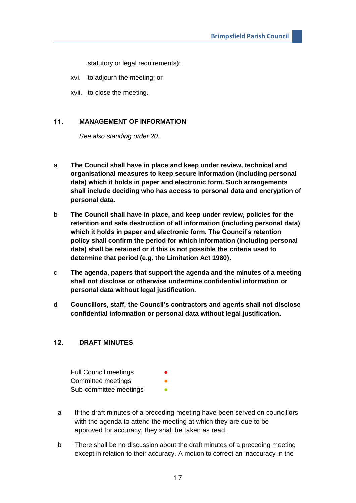statutory or legal requirements);

xvi. to adjourn the meeting; or

xvii. to close the meeting.

#### <span id="page-16-0"></span> $11.$ **MANAGEMENT OF INFORMATION**

*See also standing order 20.*

- a **The Council shall have in place and keep under review, technical and organisational measures to keep secure information (including personal data) which it holds in paper and electronic form. Such arrangements shall include deciding who has access to personal data and encryption of personal data.**
- b **The Council shall have in place, and keep under review, policies for the retention and safe destruction of all information (including personal data) which it holds in paper and electronic form. The Council's retention policy shall confirm the period for which information (including personal data) shall be retained or if this is not possible the criteria used to determine that period (e.g. the Limitation Act 1980).**
- c **The agenda, papers that support the agenda and the minutes of a meeting shall not disclose or otherwise undermine confidential information or personal data without legal justification.**
- d **Councillors, staff, the Council's contractors and agents shall not disclose confidential information or personal data without legal justification.**

#### <span id="page-16-1"></span> $12.$ **DRAFT MINUTES**

| <b>Full Council meetings</b> | $\bullet$ |
|------------------------------|-----------|
| Committee meetings           |           |
| Sub-committee meetings       |           |

- a If the draft minutes of a preceding meeting have been served on councillors with the agenda to attend the meeting at which they are due to be approved for accuracy, they shall be taken as read.
- b There shall be no discussion about the draft minutes of a preceding meeting except in relation to their accuracy. A motion to correct an inaccuracy in the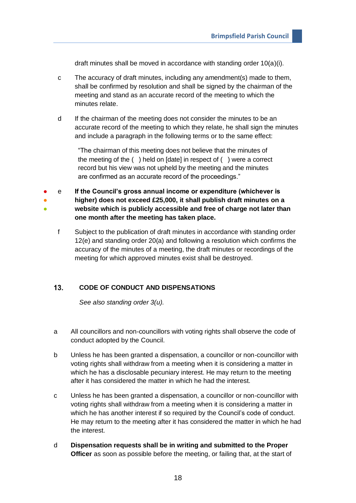draft minutes shall be moved in accordance with standing order 10(a)(i).

- c The accuracy of draft minutes, including any amendment(s) made to them, shall be confirmed by resolution and shall be signed by the chairman of the meeting and stand as an accurate record of the meeting to which the minutes relate.
- d If the chairman of the meeting does not consider the minutes to be an accurate record of the meeting to which they relate, he shall sign the minutes and include a paragraph in the following terms or to the same effect:

"The chairman of this meeting does not believe that the minutes of the meeting of the ( ) held on [date] in respect of ( ) were a correct record but his view was not upheld by the meeting and the minutes are confirmed as an accurate record of the proceedings."

● ● ● e **If the Council's gross annual income or expenditure (whichever is higher) does not exceed £25,000, it shall publish draft minutes on a website which is publicly accessible and free of charge not later than one month after the meeting has taken place.**

f Subject to the publication of draft minutes in accordance with standing order 12(e) and standing order 20(a) and following a resolution which confirms the accuracy of the minutes of a meeting, the draft minutes or recordings of the meeting for which approved minutes exist shall be destroyed.

#### <span id="page-17-0"></span> $13.$ **CODE OF CONDUCT AND DISPENSATIONS**

*See also standing order 3(u).*

- a All councillors and non-councillors with voting rights shall observe the code of conduct adopted by the Council.
- b Unless he has been granted a dispensation, a councillor or non-councillor with voting rights shall withdraw from a meeting when it is considering a matter in which he has a disclosable pecuniary interest. He may return to the meeting after it has considered the matter in which he had the interest.
- c Unless he has been granted a dispensation, a councillor or non-councillor with voting rights shall withdraw from a meeting when it is considering a matter in which he has another interest if so required by the Council's code of conduct. He may return to the meeting after it has considered the matter in which he had the interest.
- d **Dispensation requests shall be in writing and submitted to the Proper Officer** as soon as possible before the meeting, or failing that, at the start of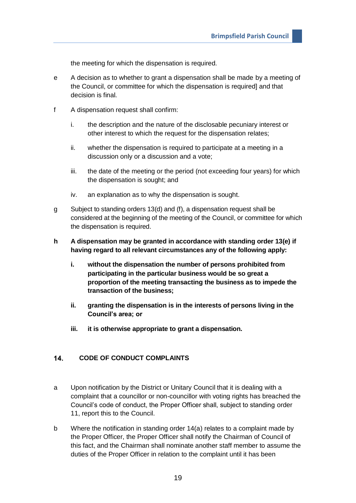the meeting for which the dispensation is required.

- e A decision as to whether to grant a dispensation shall be made by a meeting of the Council, or committee for which the dispensation is required] and that decision is final.
- f A dispensation request shall confirm:
	- i. the description and the nature of the disclosable pecuniary interest or other interest to which the request for the dispensation relates;
	- ii. whether the dispensation is required to participate at a meeting in a discussion only or a discussion and a vote;
	- iii. the date of the meeting or the period (not exceeding four years) for which the dispensation is sought; and
	- iv. an explanation as to why the dispensation is sought.
- g Subject to standing orders 13(d) and (f), a dispensation request shall be considered at the beginning of the meeting of the Council, or committee for which the dispensation is required.
- **h A dispensation may be granted in accordance with standing order 13(e) if having regard to all relevant circumstances any of the following apply:**
	- **i. without the dispensation the number of persons prohibited from participating in the particular business would be so great a proportion of the meeting transacting the business as to impede the transaction of the business;**
	- **ii. granting the dispensation is in the interests of persons living in the Council's area; or**
	- **iii. it is otherwise appropriate to grant a dispensation.**

#### <span id="page-18-0"></span> $14$ **CODE OF CONDUCT COMPLAINTS**

- a Upon notification by the District or Unitary Council that it is dealing with a complaint that a councillor or non-councillor with voting rights has breached the Council's code of conduct, the Proper Officer shall, subject to standing order 11, report this to the Council.
- b Where the notification in standing order 14(a) relates to a complaint made by the Proper Officer, the Proper Officer shall notify the Chairman of Council of this fact, and the Chairman shall nominate another staff member to assume the duties of the Proper Officer in relation to the complaint until it has been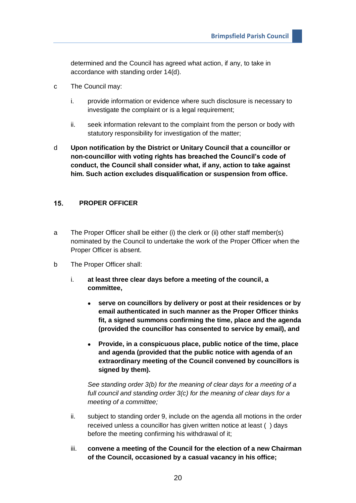determined and the Council has agreed what action, if any, to take in accordance with standing order 14(d).

- c The Council may:
	- i. provide information or evidence where such disclosure is necessary to investigate the complaint or is a legal requirement:
	- ii. seek information relevant to the complaint from the person or body with statutory responsibility for investigation of the matter;
- d **Upon notification by the District or Unitary Council that a councillor or non-councillor with voting rights has breached the Council's code of conduct, the Council shall consider what, if any, action to take against him. Such action excludes disqualification or suspension from office.**

#### <span id="page-19-0"></span> $15.$ **PROPER OFFICER**

- a The Proper Officer shall be either (i) the clerk or (ii) other staff member(s) nominated by the Council to undertake the work of the Proper Officer when the Proper Officer is absent.
- b The Proper Officer shall:
	- i. **at least three clear days before a meeting of the council, a committee,**
		- **serve on councillors by delivery or post at their residences or by email authenticated in such manner as the Proper Officer thinks fit, a signed summons confirming the time, place and the agenda (provided the councillor has consented to service by email), and**
		- **Provide, in a conspicuous place, public notice of the time, place and agenda (provided that the public notice with agenda of an extraordinary meeting of the Council convened by councillors is signed by them).**

*See standing order 3(b) for the meaning of clear days for a meeting of a full council and standing order 3(c) for the meaning of clear days for a meeting of a committee;*

- ii. subject to standing order 9, include on the agenda all motions in the order received unless a councillor has given written notice at least ( ) days before the meeting confirming his withdrawal of it;
- iii. **convene a meeting of the Council for the election of a new Chairman of the Council, occasioned by a casual vacancy in his office;**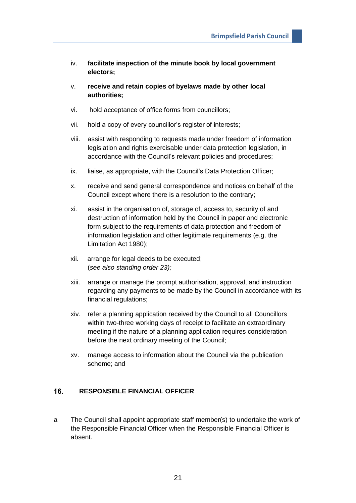- iv. **facilitate inspection of the minute book by local government electors;**
- v. **receive and retain copies of byelaws made by other local authorities;**
- vi. hold acceptance of office forms from councillors;
- vii. hold a copy of every councillor's register of interests;
- viii. assist with responding to requests made under freedom of information legislation and rights exercisable under data protection legislation, in accordance with the Council's relevant policies and procedures;
- ix. liaise, as appropriate, with the Council's Data Protection Officer;
- x. receive and send general correspondence and notices on behalf of the Council except where there is a resolution to the contrary;
- xi. assist in the organisation of, storage of, access to, security of and destruction of information held by the Council in paper and electronic form subject to the requirements of data protection and freedom of information legislation and other legitimate requirements (e.g. the Limitation Act 1980);
- xii. arrange for legal deeds to be executed; (*see also standing order 23);*
- xiii. arrange or manage the prompt authorisation, approval, and instruction regarding any payments to be made by the Council in accordance with its financial regulations;
- xiv. refer a planning application received by the Council to all Councillors within two-three working days of receipt to facilitate an extraordinary meeting if the nature of a planning application requires consideration before the next ordinary meeting of the Council;
- xv. manage access to information about the Council via the publication scheme; and

#### <span id="page-20-0"></span>16. **RESPONSIBLE FINANCIAL OFFICER**

a The Council shall appoint appropriate staff member(s) to undertake the work of the Responsible Financial Officer when the Responsible Financial Officer is absent.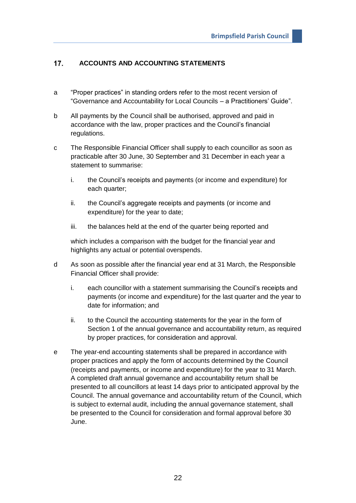#### <span id="page-21-0"></span> $17.$ **ACCOUNTS AND ACCOUNTING STATEMENTS**

- a "Proper practices" in standing orders refer to the most recent version of "Governance and Accountability for Local Councils – a Practitioners' Guide".
- b All payments by the Council shall be authorised, approved and paid in accordance with the law, proper practices and the Council's financial regulations.
- c The Responsible Financial Officer shall supply to each councillor as soon as practicable after 30 June, 30 September and 31 December in each year a statement to summarise:
	- i. the Council's receipts and payments (or income and expenditure) for each quarter;
	- ii. the Council's aggregate receipts and payments (or income and expenditure) for the year to date;
	- iii. the balances held at the end of the quarter being reported and

which includes a comparison with the budget for the financial year and highlights any actual or potential overspends.

- d As soon as possible after the financial year end at 31 March, the Responsible Financial Officer shall provide:
	- i. each councillor with a statement summarising the Council's receipts and payments (or income and expenditure) for the last quarter and the year to date for information; and
	- ii. to the Council the accounting statements for the year in the form of Section 1 of the annual governance and accountability return, as required by proper practices, for consideration and approval.
- e The year-end accounting statements shall be prepared in accordance with proper practices and apply the form of accounts determined by the Council (receipts and payments, or income and expenditure) for the year to 31 March. A completed draft annual governance and accountability return shall be presented to all councillors at least 14 days prior to anticipated approval by the Council. The annual governance and accountability return of the Council, which is subject to external audit, including the annual governance statement, shall be presented to the Council for consideration and formal approval before 30 June.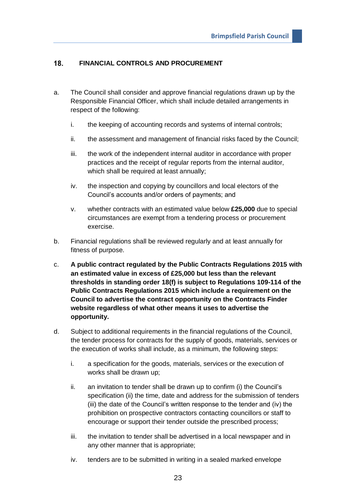#### <span id="page-22-0"></span> $18.$ **FINANCIAL CONTROLS AND PROCUREMENT**

- a. The Council shall consider and approve financial regulations drawn up by the Responsible Financial Officer, which shall include detailed arrangements in respect of the following:
	- i. the keeping of accounting records and systems of internal controls;
	- ii. the assessment and management of financial risks faced by the Council;
	- iii. the work of the independent internal auditor in accordance with proper practices and the receipt of regular reports from the internal auditor, which shall be required at least annually;
	- iv. the inspection and copying by councillors and local electors of the Council's accounts and/or orders of payments; and
	- v. whether contracts with an estimated value below **£25,000** due to special circumstances are exempt from a tendering process or procurement exercise.
- b. Financial regulations shall be reviewed regularly and at least annually for fitness of purpose.
- c. **A public contract regulated by the Public Contracts Regulations 2015 with an estimated value in excess of £25,000 but less than the relevant thresholds in standing order 18(f) is subject to Regulations 109-114 of the Public Contracts Regulations 2015 which include a requirement on the Council to advertise the contract opportunity on the Contracts Finder website regardless of what other means it uses to advertise the opportunity.**
- d. Subject to additional requirements in the financial regulations of the Council, the tender process for contracts for the supply of goods, materials, services or the execution of works shall include, as a minimum, the following steps:
	- i. a specification for the goods, materials, services or the execution of works shall be drawn up;
	- ii. an invitation to tender shall be drawn up to confirm (i) the Council's specification (ii) the time, date and address for the submission of tenders (iii) the date of the Council's written response to the tender and (iv) the prohibition on prospective contractors contacting councillors or staff to encourage or support their tender outside the prescribed process;
	- iii. the invitation to tender shall be advertised in a local newspaper and in any other manner that is appropriate;
	- iv. tenders are to be submitted in writing in a sealed marked envelope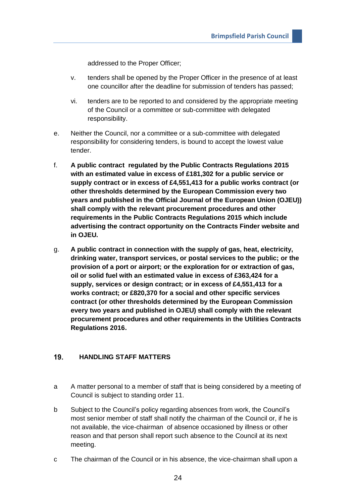addressed to the Proper Officer;

- v. tenders shall be opened by the Proper Officer in the presence of at least one councillor after the deadline for submission of tenders has passed;
- vi. tenders are to be reported to and considered by the appropriate meeting of the Council or a committee or sub-committee with delegated responsibility.
- e. Neither the Council, nor a committee or a sub-committee with delegated responsibility for considering tenders, is bound to accept the lowest value tender.
- f. **A public contract regulated by the Public Contracts Regulations 2015 with an estimated value in excess of £181,302 for a public service or supply contract or in excess of £4,551,413 for a public works contract (or other thresholds determined by the European Commission every two years and published in the Official Journal of the European Union (OJEU)) shall comply with the relevant procurement procedures and other requirements in the Public Contracts Regulations 2015 which include advertising the contract opportunity on the Contracts Finder website and in OJEU.**
- g. **A public contract in connection with the supply of gas, heat, electricity, drinking water, transport services, or postal services to the public; or the provision of a port or airport; or the exploration for or extraction of gas, oil or solid fuel with an estimated value in excess of £363,424 for a supply, services or design contract; or in excess of £4,551,413 for a works contract; or £820,370 for a social and other specific services contract (or other thresholds determined by the European Commission every two years and published in OJEU) shall comply with the relevant procurement procedures and other requirements in the Utilities Contracts Regulations 2016.**

#### <span id="page-23-0"></span>19. **HANDLING STAFF MATTERS**

- a A matter personal to a member of staff that is being considered by a meeting of Council is subject to standing order 11.
- b Subject to the Council's policy regarding absences from work, the Council's most senior member of staff shall notify the chairman of the Council or, if he is not available, the vice-chairman of absence occasioned by illness or other reason and that person shall report such absence to the Council at its next meeting.
- c The chairman of the Council or in his absence, the vice-chairman shall upon a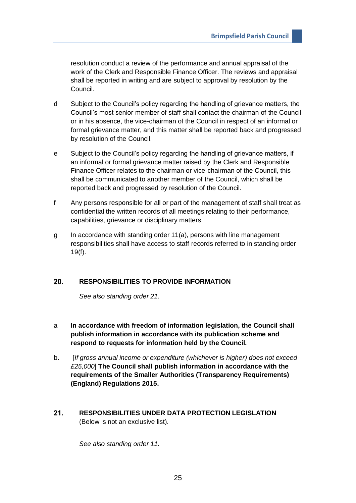resolution conduct a review of the performance and annual appraisal of the work of the Clerk and Responsible Finance Officer. The reviews and appraisal shall be reported in writing and are subject to approval by resolution by the Council.

- d Subject to the Council's policy regarding the handling of grievance matters, the Council's most senior member of staff shall contact the chairman of the Council or in his absence, the vice-chairman of the Council in respect of an informal or formal grievance matter, and this matter shall be reported back and progressed by resolution of the Council.
- e Subject to the Council's policy regarding the handling of grievance matters, if an informal or formal grievance matter raised by the Clerk and Responsible Finance Officer relates to the chairman or vice-chairman of the Council, this shall be communicated to another member of the Council, which shall be reported back and progressed by resolution of the Council.
- f Any persons responsible for all or part of the management of staff shall treat as confidential the written records of all meetings relating to their performance, capabilities, grievance or disciplinary matters.
- g In accordance with standing order 11(a), persons with line management responsibilities shall have access to staff records referred to in standing order 19(f).

#### <span id="page-24-0"></span>20. **RESPONSIBILITIES TO PROVIDE INFORMATION**

*See also standing order 21.*

- a **In accordance with freedom of information legislation, the Council shall publish information in accordance with its publication scheme and respond to requests for information held by the Council.**
- b. [*If gross annual income or expenditure (whichever is higher) does not exceed £25,000*] **The Council shall publish information in accordance with the requirements of the Smaller Authorities (Transparency Requirements) (England) Regulations 2015.**
- <span id="page-24-1"></span> $21.$ **RESPONSIBILITIES UNDER DATA PROTECTION LEGISLATION**  (Below is not an exclusive list).

*See also standing order 11.*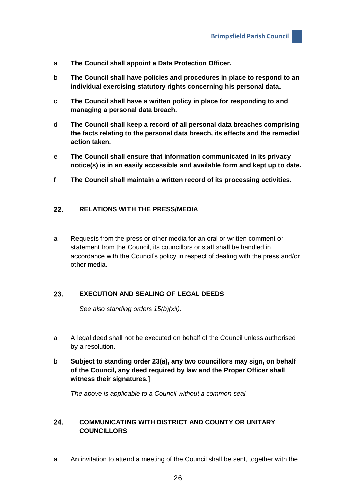- a **The Council shall appoint a Data Protection Officer.**
- b **The Council shall have policies and procedures in place to respond to an individual exercising statutory rights concerning his personal data.**
- c **The Council shall have a written policy in place for responding to and managing a personal data breach.**
- d **The Council shall keep a record of all personal data breaches comprising the facts relating to the personal data breach, its effects and the remedial action taken.**
- e **The Council shall ensure that information communicated in its privacy notice(s) is in an easily accessible and available form and kept up to date.**
- f **The Council shall maintain a written record of its processing activities.**

#### <span id="page-25-0"></span> $22.$ **RELATIONS WITH THE PRESS/MEDIA**

a Requests from the press or other media for an oral or written comment or statement from the Council, its councillors or staff shall be handled in accordance with the Council's policy in respect of dealing with the press and/or other media.

#### <span id="page-25-1"></span>23. **EXECUTION AND SEALING OF LEGAL DEEDS**

*See also standing orders 15(b)(xii).*

- a A legal deed shall not be executed on behalf of the Council unless authorised by a resolution.
- b **Subject to standing order 23(a), any two councillors may sign, on behalf of the Council, any deed required by law and the Proper Officer shall witness their signatures.]**

*The above is applicable to a Council without a common seal.*

## <span id="page-25-2"></span>24. **COMMUNICATING WITH DISTRICT AND COUNTY OR UNITARY COUNCILLORS**

a An invitation to attend a meeting of the Council shall be sent, together with the